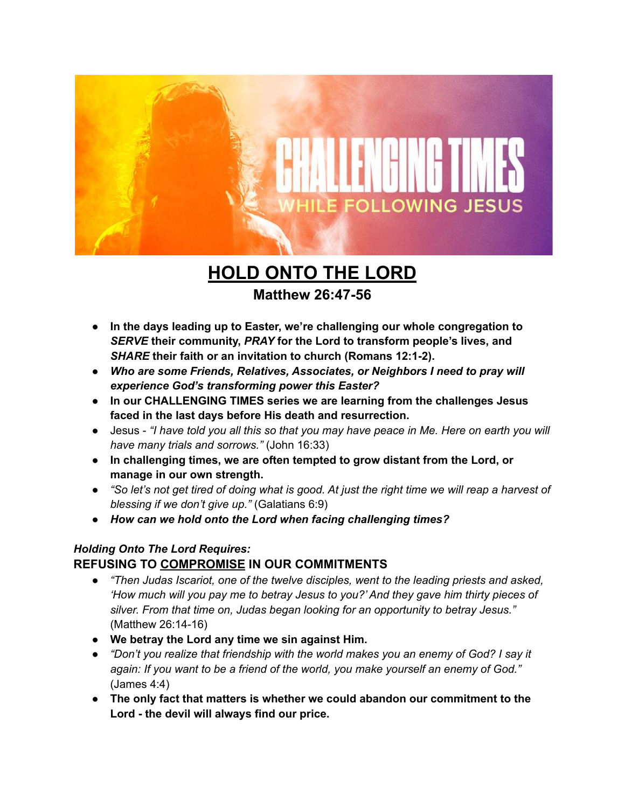

# **HOLD ONTO THE LORD**

# **Matthew 26:47-56**

- **● In the days leading up to Easter, we're challenging our whole congregation to** *SERVE* **their community,** *PRAY* **for the Lord to transform people's lives, and** *SHARE* **their faith or an invitation to church (Romans 12:1-2).**
- *● Who are some Friends, Relatives, Associates, or Neighbors I need to pray will experience God's transforming power this Easter?*
- **● In our CHALLENGING TIMES series we are learning from the challenges Jesus faced in the last days before His death and resurrection.**
- Jesus "I have told you all this so that you may have peace in Me. Here on earth you will *have many trials and sorrows."* (John 16:33)
- **● In challenging times, we are often tempted to grow distant from the Lord, or manage in our own strength.**
- "So let's not get tired of doing what is good. At just the right time we will reap a harvest of *blessing if we don't give up."* (Galatians 6:9)
- *● How can we hold onto the Lord when facing challenging times?*

#### *Holding Onto The Lord Requires:* **REFUSING TO COMPROMISE IN OUR COMMITMENTS**

- *● "Then Judas Iscariot, one of the twelve disciples, went to the leading priests and asked, 'How much will you pay me to betray Jesus to you?' And they gave him thirty pieces of silver. From that time on, Judas began looking for an opportunity to betray Jesus."* (Matthew 26:14-16)
- **● We betray the Lord any time we sin against Him.**
- *● "Don't you realize that friendship with the world makes you an enemy of God? I say it again: If you want to be a friend of the world, you make yourself an enemy of God."* (James 4:4)
- **● The only fact that matters is whether we could abandon our commitment to the Lord - the devil will always find our price.**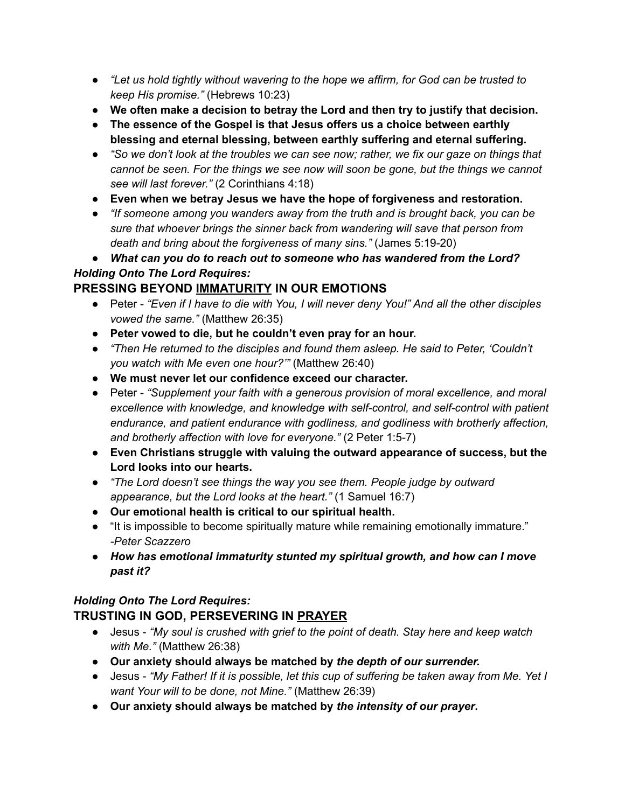- *● "Let us hold tightly without wavering to the hope we affirm, for God can be trusted to keep His promise."* (Hebrews 10:23)
- **● We often make a decision to betray the Lord and then try to justify that decision.**
- **● The essence of the Gospel is that Jesus offers us a choice between earthly blessing and eternal blessing, between earthly suffering and eternal suffering.**
- "So we don't look at the troubles we can see now; rather, we fix our gaze on things that *cannot be seen. For the things we see now will soon be gone, but the things we cannot see will last forever."* (2 Corinthians 4:18)
- **● Even when we betray Jesus we have the hope of forgiveness and restoration.**
- *● "If someone among you wanders away from the truth and is brought back, you can be sure that whoever brings the sinner back from wandering will save that person from death and bring about the forgiveness of many sins."* (James 5:19-20)

*● What can you do to reach out to someone who has wandered from the Lord? Holding Onto The Lord Requires:*

# **PRESSING BEYOND IMMATURITY IN OUR EMOTIONS**

- Peter "Even if I have to die with You, I will never deny You!" And all the other disciples *vowed the same."* (Matthew 26:35)
- **● Peter vowed to die, but he couldn't even pray for an hour.**
- *● "Then He returned to the disciples and found them asleep. He said to Peter, 'Couldn't you watch with Me even one hour?'"* (Matthew 26:40)
- **● We must never let our confidence exceed our character.**
- *●* Peter *"Supplement your faith with a generous provision of moral excellence, and moral excellence with knowledge, and knowledge with self-control, and self-control with patient endurance, and patient endurance with godliness, and godliness with brotherly affection, and brotherly affection with love for everyone."* (2 Peter 1:5-7)
- **● Even Christians struggle with valuing the outward appearance of success, but the Lord looks into our hearts.**
- *● "The Lord doesn't see things the way you see them. People judge by outward appearance, but the Lord looks at the heart."* (1 Samuel 16:7)
- **● Our emotional health is critical to our spiritual health.**
- "It is impossible to become spiritually mature while remaining emotionally immature." *-Peter Scazzero*
- *● How has emotional immaturity stunted my spiritual growth, and how can I move past it?*

## *Holding Onto The Lord Requires:*

## **TRUSTING IN GOD, PERSEVERING IN PRAYER**

- *●* Jesus *"My soul is crushed with grief to the point of death. Stay here and keep watch with Me."* (Matthew 26:38)
- **● Our anxiety should always be matched by** *the depth of our surrender.*
- Jesus "My Father! If it is possible, let this cup of suffering be taken away from Me. Yet I *want Your will to be done, not Mine."* (Matthew 26:39)
- **● Our anxiety should always be matched by** *the intensity of our prayer***.**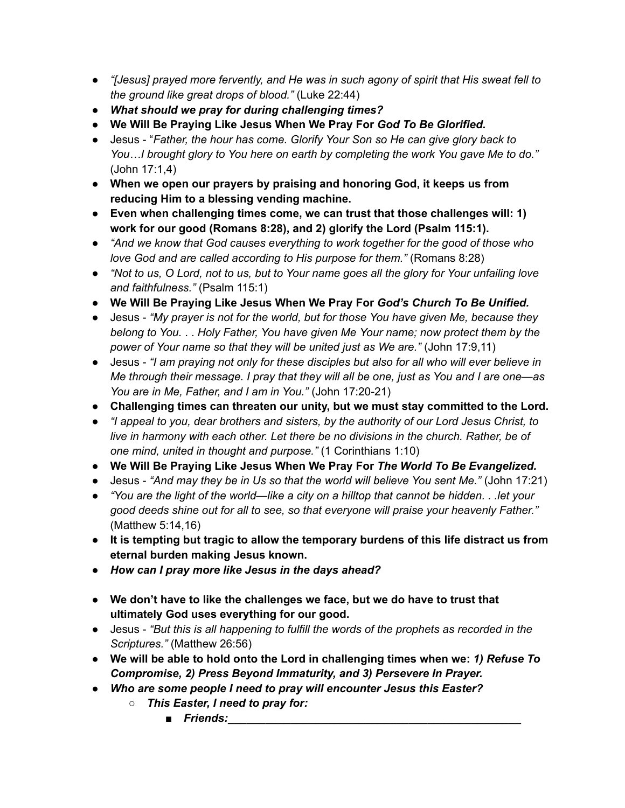- *"[Jesus] prayed more fervently, and He was in such agony of spirit that His sweat fell to the ground like great drops of blood."* (Luke 22:44)
- *● What should we pray for during challenging times?*
- *●* **We Will Be Praying Like Jesus When We Pray For** *God To Be Glorified.*
- Jesus "*Father, the hour has come. Glorify Your Son so He can give glory back to You…I brought glory to You here on earth by completing the work You gave Me to do."* (John 17:1,4)
- **● When we open our prayers by praising and honoring God, it keeps us from reducing Him to a blessing vending machine.**
- **● Even when challenging times come, we can trust that those challenges will: 1) work for our good (Romans 8:28), and 2) glorify the Lord (Psalm 115:1).**
- *● "And we know that God causes everything to work together for the good of those who love God and are called according to His purpose for them."* (Romans 8:28)
- "Not to us, O Lord, not to us, but to Your name goes all the glory for Your unfailing love *and faithfulness."* (Psalm 115:1)
- **● We Will Be Praying Like Jesus When We Pray For** *God's Church To Be Unified.*
- *●* Jesus *"My prayer is not for the world, but for those You have given Me, because they belong to You.* . . *Holy Father, You have given Me Your name; now protect them by the power of Your name so that they will be united just as We are."* (John 17:9,11)
- Jesus *"I am praying not only for these disciples but also for all who will ever believe in Me through their message. I pray that they will all be one, just as You and I are one—as You are in Me, Father, and I am in You."* (John 17:20-21)
- **Challenging times can threaten our unity, but we must stay committed to the Lord.**
- *● "I appeal to you, dear brothers and sisters, by the authority of our Lord Jesus Christ, to live in harmony with each other. Let there be no divisions in the church. Rather, be of one mind, united in thought and purpose."* (1 Corinthians 1:10)
- **● We Will Be Praying Like Jesus When We Pray For** *The World To Be Evangelized.*
- *●* Jesus *"And may they be in Us so that the world will believe You sent Me."* (John 17:21)
- "You are the light of the world—like a city on a hilltop that cannot be hidden. . . let your *good deeds shine out for all to see, so that everyone will praise your heavenly Father."* (Matthew 5:14,16)
- **● It is tempting but tragic to allow the temporary burdens of this life distract us from eternal burden making Jesus known.**
- *● How can I pray more like Jesus in the days ahead?*
- **● We don't have to like the challenges we face, but we do have to trust that ultimately God uses everything for our good.**
- *●* Jesus *"But this is all happening to fulfill the words of the prophets as recorded in the Scriptures."* (Matthew 26:56)
- **● We will be able to hold onto the Lord in challenging times when we:** *1) Refuse To Compromise, 2) Press Beyond Immaturity, and 3) Persevere In Prayer.*
- *● Who are some people I need to pray will encounter Jesus this Easter?*
	- *○ This Easter, I need to pray for:*
		- *Friends:*